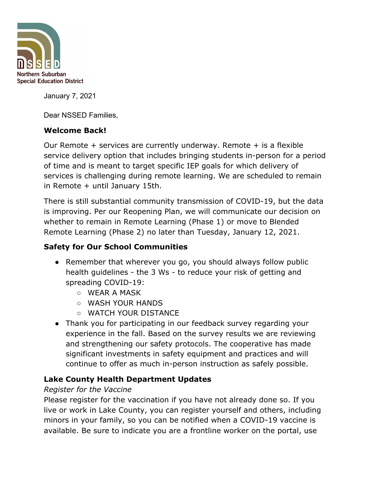

January 7, 2021

Dear NSSED Families,

## **Welcome Back!**

Our Remote  $+$  services are currently underway. Remote  $+$  is a flexible service delivery option that includes bringing students in-person for a period of time and is meant to target specific IEP goals for which delivery of services is challenging during remote learning. We are scheduled to remain in Remote + until January 15th.

There is still substantial community transmission of COVID-19, but the data is improving. Per our Reopening Plan, we will communicate our decision on whether to remain in Remote Learning (Phase 1) or move to Blended Remote Learning (Phase 2) no later than Tuesday, January 12, 2021.

# **Safety for Our School Communities**

- Remember that wherever you go, you should always follow public health guidelines - the 3 Ws - to reduce your risk of getting and spreading COVID-19:
	- WEAR A MASK
	- WASH YOUR HANDS
	- WATCH YOUR DISTANCE
- Thank you for participating in our feedback survey regarding your experience in the fall. Based on the survey results we are reviewing and strengthening our safety protocols. The cooperative has made significant investments in safety equipment and practices and will continue to offer as much in-person instruction as safely possible.

## **Lake County Health Department Updates**

#### *Register for the Vaccine*

Please register for the vaccination if you have not already done so. If you live or work in Lake County, you can register yourself and others, including minors in your family, so you can be notified when a COVID-19 vaccine is available. Be sure to indicate you are a frontline worker on the portal, use